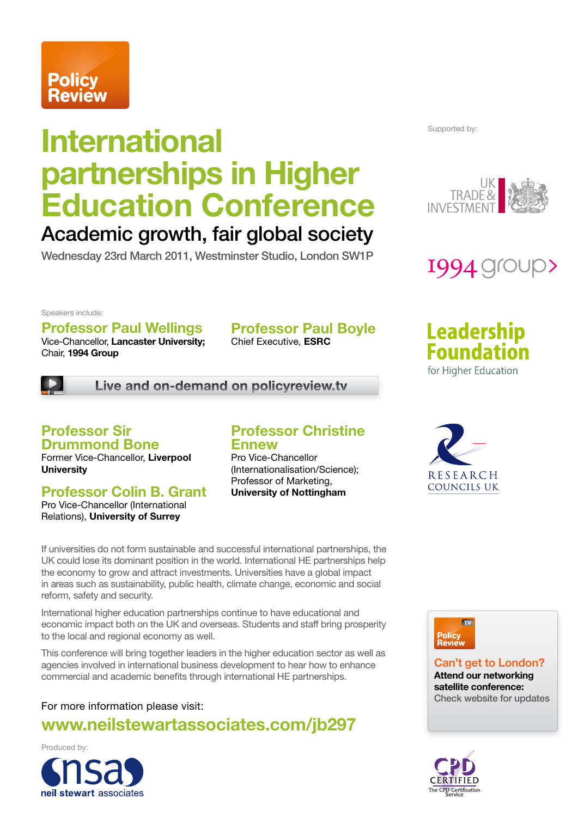# **Policy<br>Review**

## **International partnerships in Higher Education Conference**

## Academic growth, fair global society

Wednesday 23rd March 2011, Westminster Studio, London SW1P

Supported by:





#### Speakers include:

## **Professor Paul Wellings**

Vice-Chancellor, **Lancaster University;** Chair, **1994 Group**

**Professor Paul Boyle**

Chief Executive, **ESRC**



**Live and on-demand on policyreview.tv**

#### **Professor Sir Drummond Bone**

Former Vice-Chancellor, **Liverpool University**

#### **Professor Colin B. Grant**

Pro Vice-Chancellor (International Relations), **University of Surrey**

#### **Professor Christine Ennew**

Pro Vice-Chancellor (Internationalisation/Science); Professor of Marketing, **University of Nottingham**

If universities do not form sustainable and successful international partnerships, the UK could lose its dominant position in the world. International HE partnerships help the economy to grow and attract investments. Universities have a global impact in areas such as sustainability, public health, climate change, economic and social reform, safety and security.

International higher education partnerships continue to have educational and economic impact both on the UK and overseas. Students and staff bring prosperity to the local and regional economy as well.

This conference will bring together leaders in the higher education sector as well as agencies involved in international business development to hear how to enhance commercial and academic benefits through international HE partnerships.

#### For more information please visit: **www.neilstewartassociates.com/jb297**

Produced by:



**Can't get to London? Attend our networking satellite conference:** Check website for updates





**RESEARCH COUNCILS UK** 

**Leadership Foundation**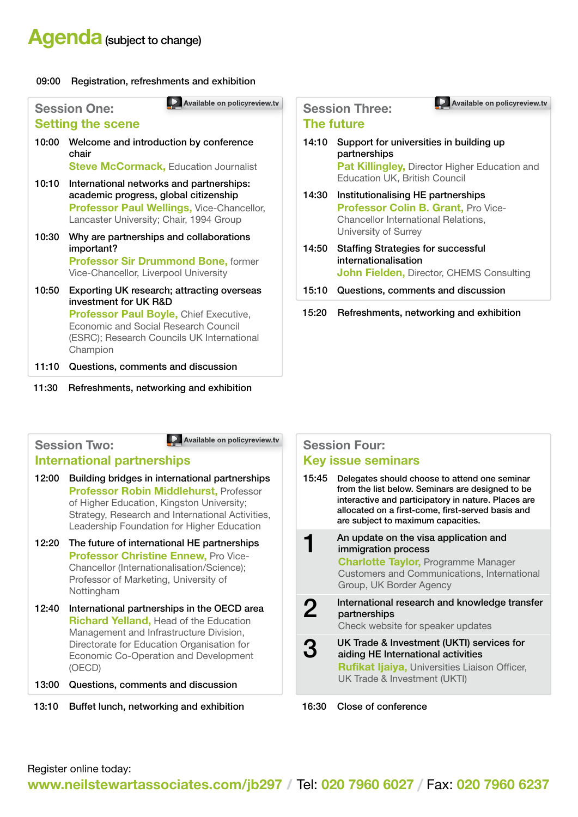## **Agenda** (subject to change)

#### 09:00 Registration, refreshments and exhibition

|                                                 | Available on policyreview.tv                                                                                                                                                                                           |  |  |  |
|-------------------------------------------------|------------------------------------------------------------------------------------------------------------------------------------------------------------------------------------------------------------------------|--|--|--|
| <b>Session One:</b><br><b>Setting the scene</b> |                                                                                                                                                                                                                        |  |  |  |
| 10:00                                           | Welcome and introduction by conference<br>chair<br><b>Steve McCormack, Education Journalist</b>                                                                                                                        |  |  |  |
| 10:10                                           | International networks and partnerships:<br>academic progress, global citizenship<br>Professor Paul Wellings, Vice-Chancellor,<br>Lancaster University; Chair, 1994 Group                                              |  |  |  |
| 10:30                                           | Why are partnerships and collaborations<br>important?<br><b>Professor Sir Drummond Bone, former</b><br>Vice-Chancellor, Liverpool University                                                                           |  |  |  |
| 10:50                                           | Exporting UK research; attracting overseas<br>investment for UK R&D<br><b>Professor Paul Boyle, Chief Executive,</b><br>Economic and Social Research Council<br>(ESRC); Research Councils UK International<br>Champion |  |  |  |
| 11:10                                           | Questions, comments and discussion                                                                                                                                                                                     |  |  |  |

11:30 Refreshments, networking and exhibition

### **Session Three:**

#### **The future**

14:10 Support for universities in building up partnerships **Pat Killingley, Director Higher Education and** 

**Available on policyreview.tv Available on policyreview.tv**

Education UK, British Council 14:30 Institutionalising HE partnerships **Professor Colin B. Grant. Pro Vice-**Chancellor International Relations, University of Surrey

- 14:50 Staffing Strategies for successful internationalisation **John Fielden,** Director, CHEMS Consulting
- 15:10 Questions, comments and discussion
- 15:20 Refreshments, networking and exhibition

#### **Session Two:**

**Available on policyreview.tv** 

#### **International partnerships**

- 12:00 Building bridges in international partnerships **Professor Robin Middlehurst,** Professor of Higher Education, Kingston University; Strategy, Research and International Activities, Leadership Foundation for Higher Education
- 12:20 The future of international HE partnerships **Professor Christine Ennew, Pro Vice-**Chancellor (Internationalisation/Science); Professor of Marketing, University of Nottingham
- 12:40 International partnerships in the OECD area **Richard Yelland,** Head of the Education Management and Infrastructure Division, Directorate for Education Organisation for Economic Co-Operation and Development (OECD)
- 13:00 Questions, comments and discussion
- 13:10 Buffet lunch, networking and exhibition 16:30 Close of conference

#### **Session Four: Key issue seminars**

15:45 Delegates should choose to attend one seminar from the list below. Seminars are designed to be interactive and participatory in nature. Places are allocated on a first-come, first-served basis and are subject to maximum capacities. An update on the visa application and immigration process **Charlotte Taylor,** Programme Manager Customers and Communications, International Group, UK Border Agency **2** International research and knowledge transfer partnerships Check website for speaker updates **3** UK Trade & Investment (UKTI) services for<br>3 aiding HE International activities aiding HE International activities **Rufikat Ijaiya,** Universities Liaison Officer, UK Trade & Investment (UKTI)

Register online today:

**www.neilstewartassociates.com/jb297** / Tel: **020 7960 6027 /** Fax: **020 7960 6237**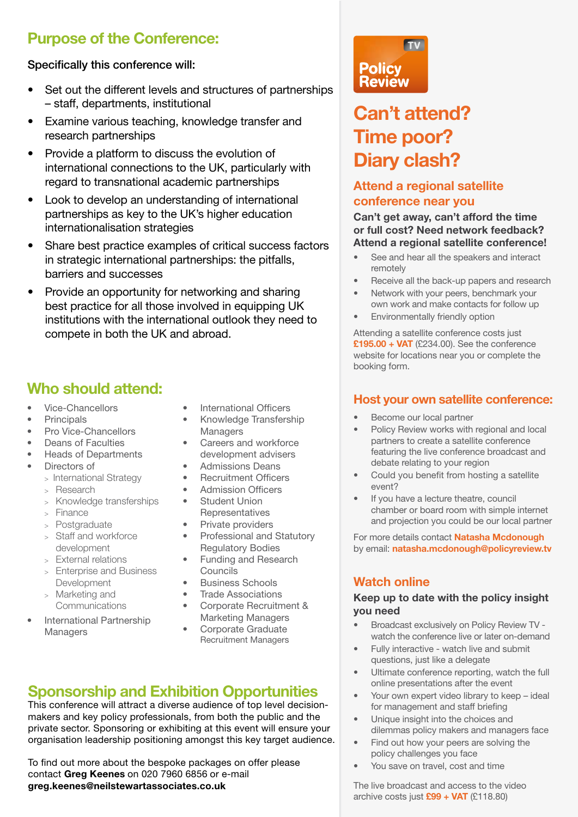## **Purpose of the Conference:**

#### Specifically this conference will:

- Set out the different levels and structures of partnerships – staff, departments, institutional
- Examine various teaching, knowledge transfer and research partnerships
- Provide a platform to discuss the evolution of international connections to the UK, particularly with regard to transnational academic partnerships
- Look to develop an understanding of international partnerships as key to the UK's higher education internationalisation strategies
- Share best practice examples of critical success factors in strategic international partnerships: the pitfalls, barriers and successes
- Provide an opportunity for networking and sharing best practice for all those involved in equipping UK institutions with the international outlook they need to compete in both the UK and abroad.

## **Who should attend:**

- Vice-Chancellors
- **Principals**
- Pro Vice-Chancellors
- Deans of Faculties
- Heads of Departments
- Directors of
	- > International Strategy
	- > Research
	- > Knowledge transferships
	- > Finance
	- > Postgraduate
	- > Staff and workforce development
	- > External relations
	- > Enterprise and Business Development
	- > Marketing and **Communications**
- International Partnership Managers
- International Officers
- Knowledge Transfership **Managers**
- Careers and workforce development advisers
- Admissions Deans
- Recruitment Officers
- Admission Officers
- Student Union **Representatives**
- Private providers
- Professional and Statutory Regulatory Bodies
- Funding and Research Councils
- Business Schools
- Trade Associations
- Corporate Recruitment & Marketing Managers
- Corporate Graduate Recruitment Managers

## **Sponsorship and Exhibition Opportunities**

This conference will attract a diverse audience of top level decisionmakers and key policy professionals, from both the public and the private sector. Sponsoring or exhibiting at this event will ensure your organisation leadership positioning amongst this key target audience.

To find out more about the bespoke packages on offer please contact **Greg Keenes** on 020 7960 6856 or e-mail **greg.keenes@neilstewartassociates.co.uk**



## **Can't attend? Time poor? Diary clash?**

#### **Attend a regional satellite conference near you**

#### **Can't get away, can't afford the time or full cost? Need network feedback? Attend a regional satellite conference!**

- See and hear all the speakers and interact remotely
- Receive all the back-up papers and research
- Network with your peers, benchmark your own work and make contacts for follow up
- Environmentally friendly option

Attending a satellite conference costs just **£195.00 + VAT** (£234.00). See the conference website for locations near you or complete the booking form.

#### **Host your own satellite conference:**

- Become our local partner
- Policy Review works with regional and local partners to create a satellite conference featuring the live conference broadcast and debate relating to your region
- Could you benefit from hosting a satellite event?
- If you have a lecture theatre, council chamber or board room with simple internet and projection you could be our local partner

For more details contact **Natasha Mcdonough** by email: **natasha.mcdonough@policyreview.tv**

#### **Watch online**

#### **Keep up to date with the policy insight you need**

- Broadcast exclusively on Policy Review TV watch the conference live or later on-demand
- Fully interactive watch live and submit questions, just like a delegate
- Ultimate conference reporting, watch the full online presentations after the event
- Your own expert video library to keep ideal for management and staff briefing
- Unique insight into the choices and dilemmas policy makers and managers face
- Find out how your peers are solving the policy challenges you face
- You save on travel, cost and time

The live broadcast and access to the video archive costs just **£99 + VAT** (£118.80)